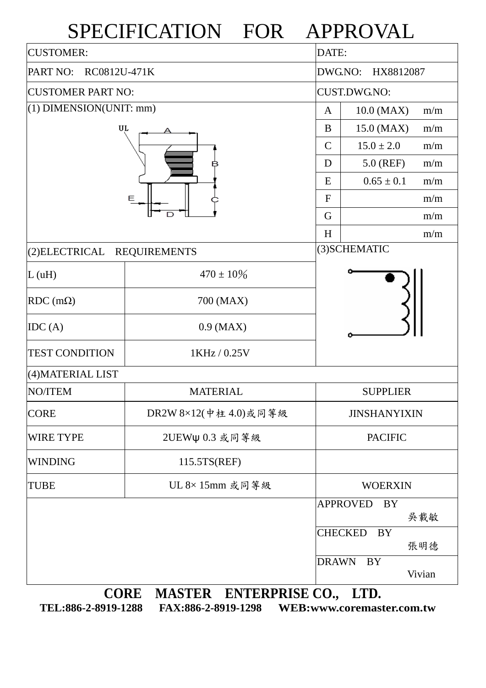## SPECIFICATION FOR APPROVAL

| <b>CUSTOMER:</b>                      |                                            |                | DATE:                       |        |  |  |  |
|---------------------------------------|--------------------------------------------|----------------|-----------------------------|--------|--|--|--|
| RC0812U-471K<br>PART NO:              |                                            |                | DWG.NO:<br>HX8812087        |        |  |  |  |
| <b>CUSTOMER PART NO:</b>              |                                            |                | <b>CUST.DWG.NO:</b>         |        |  |  |  |
| $(1)$ DIMENSION(UNIT: mm)             | A                                          | 10.0 (MAX)     | m/m                         |        |  |  |  |
| UL                                    | B                                          | 15.0 (MAX)     | m/m                         |        |  |  |  |
|                                       | $\mathcal{C}$                              | $15.0 \pm 2.0$ | m/m                         |        |  |  |  |
| Ε                                     |                                            |                | 5.0 (REF)                   | m/m    |  |  |  |
|                                       |                                            |                | $0.65 \pm 0.1$              | m/m    |  |  |  |
|                                       |                                            |                |                             | m/m    |  |  |  |
|                                       |                                            |                |                             | m/m    |  |  |  |
|                                       | H                                          |                | m/m                         |        |  |  |  |
| (2) ELECTRICAL<br><b>REQUIREMENTS</b> |                                            | (3) SCHEMATIC  |                             |        |  |  |  |
| L(uH)                                 | $470 \pm 10\%$                             |                |                             |        |  |  |  |
| RDC $(m\Omega)$                       | 700 (MAX)                                  |                |                             |        |  |  |  |
| IDC(A)                                | $0.9$ (MAX)                                |                |                             |        |  |  |  |
| <b>TEST CONDITION</b>                 | 1KHz / 0.25V                               |                |                             |        |  |  |  |
| (4) MATERIAL LIST                     |                                            |                |                             |        |  |  |  |
| NO/ITEM                               | <b>MATERIAL</b>                            |                | <b>SUPPLIER</b>             |        |  |  |  |
| <b>CORE</b>                           | DR2W 8×12(中柱 4.0)或同等級                      |                | <b>JINSHANYIXIN</b>         |        |  |  |  |
| <b>WIRE TYPE</b>                      | 2UEWψ 0.3 或同等級                             |                | <b>PACIFIC</b>              |        |  |  |  |
| <b>WINDING</b>                        | 115.5TS(REF)                               |                |                             |        |  |  |  |
| <b>TUBE</b>                           | UL 8×15mm 或同等級                             |                | <b>WOERXIN</b>              |        |  |  |  |
|                                       |                                            |                | <b>APPROVED</b><br>BY       | 吳載敏    |  |  |  |
|                                       |                                            |                | <b>CHECKED</b><br><b>BY</b> | 張明德    |  |  |  |
|                                       |                                            | <b>DRAWN</b>   | <b>BY</b>                   | Vivian |  |  |  |
|                                       | <b>CORE</b><br>MASTER ENTERPRISE CO., LTD. |                |                             |        |  |  |  |

**TEL:886-2-8919-1288 FAX:886-2-8919-1298 WEB:www.coremaster.com.tw**